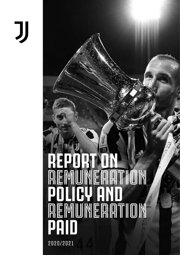# IJ

# **REPORT ON**  $\overline{\mathbb{R}}$ **POLICY AND REMUNERATION PAID** 2020/2021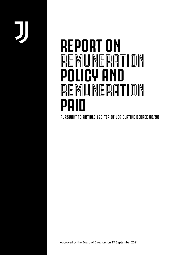## **REPORT ON REMUNERATION POLICY AND REMUNERATION PAID**

PURSUANT TO ARTICLE 123-TER OF LEGISLATIVE DECREE 58/98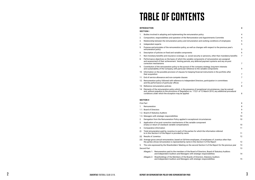# **TABLE OF CONTENTS**

#### **INTRODUCTION**

**4**

#### **SECTION I**

- 1. Bodies involved in adopting and implementing the remune
- 2. Composition, responsibilities and operation of the Remune
- 3. Relationship between the remuneration policy and remune
- 4. Independent experts
- 5. Purpose and principles of the remuneration policy, as well remuneration policy
- 6. Description of policies on fixed and variable components
- 7. Non-monetary benefits and insurance coverage, i.e. social
- 8. Performance objectives on the basis of which the variable and assessment of their achievement. Vesting periods, an correction mechanisms
- 9. Contribution of the remuneration policy to the pursuit of the and sustainability of the Company, with particular reference
- 10. Information on the possible provision of clauses for keeping their acquisition
- 11. End of service allowance and non-compete clauses
- 12. Remuneration policy followed with reference to Independe and the performance of particular offices
- 13. Reference remuneration policies
- 14. Elements of the remuneration policy which, in the presenc and, without prejudice to the provisions of Regulation no. conditions under which the exception may be applied

- 1. Remuneration
- 1.1. Board of Directors
- 1.2. Board of Statutory Auditors
- 1.3. Managers with strategic responsibilities
- 2. Derogation from the Remuneration Policy applied in exception
- 3. Application of ex post correction mechanisms of the varia (malus or return of clawback variable compensation)
- 4. Comparative information
- (i) Total remuneration paid by Juventus to each of the parties to in this Section II of the Report is provided by name
- (ii) Results of Juventus
- (iii) Average gross annual remuneration, based on full-time em the parties whose remuneration is represented by name in
- 5. The vote expressed by the Shareholders' Meeting on the section

- Allegato 1: Remuneration paid to the members of the Board Allegato 1: and Independent Auditors and Managers with
- Allegato 2: Shareholdings of the Members of the Boards and Independent Auditors and Managers with

|      | <b>SECTION I</b>           |                                                                                                                                                                                                                                                                                   |                |
|------|----------------------------|-----------------------------------------------------------------------------------------------------------------------------------------------------------------------------------------------------------------------------------------------------------------------------------|----------------|
| 1.   |                            | Bodies involved in adopting and implementing the remuneration policy                                                                                                                                                                                                              | 4              |
| 2.   |                            | Composition, responsibilities and operation of the Remuneration and Appointments Committe                                                                                                                                                                                         | 4              |
| 3.   |                            | Relationship between the remuneration policy and remuneration and working conditions of employees                                                                                                                                                                                 | 5              |
| 4.   | Independent experts        |                                                                                                                                                                                                                                                                                   | 5              |
| 5.   | remuneration policy        | Purpose and principles of the remuneration policy, as well as changes with respect to the previous year's                                                                                                                                                                         | 5              |
| 6.   |                            | Description of policies on fixed and variable components                                                                                                                                                                                                                          | 6              |
| 7.   |                            | Non-monetary benefits and insurance coverage, i.e. social security or pensions, other than mandatory benefits                                                                                                                                                                     | $\overline{7}$ |
| 8.   |                            | Performance objectives on the basis of which the variable components of remuneration are assigned<br>and assessment of their achievement. Vesting periods, any deferred payment systems and any ex-post<br>correction mechanisms                                                  | 7              |
| 9.   |                            | Contribution of the remuneration policy to the pursuit of the company strategy, long-term interests<br>and sustainability of the Company, with particular reference to the variable components                                                                                    | 9              |
|      | their acquisition          | 10. Information on the possible provision of clauses for keeping financial instruments in the portfolio after                                                                                                                                                                     | 7              |
|      |                            | 11. End of service allowance and non-compete clauses                                                                                                                                                                                                                              | 7              |
|      |                            | 12. Remuneration policy followed with reference to Independent Directors, participation in committees<br>and the performance of particular offices                                                                                                                                | 7              |
|      |                            | 13. Reference remuneration policies                                                                                                                                                                                                                                               | 8              |
|      |                            | 14. Elements of the remuneration policy which, in the presence of exceptional circumstances, may be waived<br>and, without prejudice to the provisions of Regulation no. 17221 of 12 March 2010, any additional procedural<br>conditions under which the exception may be applied | 8              |
|      | <b>SECTION II</b>          |                                                                                                                                                                                                                                                                                   |                |
|      | First Part                 |                                                                                                                                                                                                                                                                                   | 8              |
| 1.   | Remuneration               |                                                                                                                                                                                                                                                                                   | 8              |
|      | 1.1. Board of Directors    |                                                                                                                                                                                                                                                                                   | 9              |
|      |                            | 1.2. Board of Statutory Auditors                                                                                                                                                                                                                                                  | 9              |
|      |                            | 1.3. Managers with strategic responsibilities                                                                                                                                                                                                                                     | 10             |
| 2.   |                            | Derogation from the Remuneration Policy applied in exceptional circumstances                                                                                                                                                                                                      | 10             |
| 3.   |                            | Application of ex post correction mechanisms of the variable component<br>(malus or return of clawback variable compensation)                                                                                                                                                     | 10             |
| 4.   |                            | Comparative information                                                                                                                                                                                                                                                           | 11             |
| (i)  |                            | Total remuneration paid by Juventus to each of the parties for which the information referred<br>to in this Section II of the Report is provided by name                                                                                                                          | 11             |
| (ii) | <b>Results of Juventus</b> |                                                                                                                                                                                                                                                                                   | 12             |
|      |                            | (iii) Average gross annual remuneration, based on full-time employees, of employees of Juventus other than<br>the parties whose remuneration is represented by name in this Section II of the Report                                                                              | 12             |
| 5.   |                            | The vote expressed by the Shareholders' Meeting on the second Section II of the Report for the previous year                                                                                                                                                                      | 13             |
|      | <b>Second Part</b>         |                                                                                                                                                                                                                                                                                   | 13             |
|      | Allegato 1:                | Remuneration paid to the members of the Board of Directors, Board of Statutory Auditors<br>and Independent Auditors and Managers with strategic responsibilities                                                                                                                  | 14             |
|      | Allegato 2:                | Shareholdings of the Members of the Boards of Directors, Statutory Auditors<br>and Independent Auditors and Managers with strategic responsibilities                                                                                                                              | 15             |

#### **SECTION II**

#### *First Part*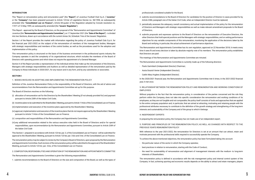#### **INTRODUCTION**

This "Report on remuneration policy and remuneration paid" (the "**Report**") of Juventus Football Club S.p.A. ("**Juventus**" or the "**Company**") has been prepared pursuant to Article 123-ter of Legislative Decree no. 58/1998, as subsequently amended (the "**Consolidated Law on Finance**"), Article 84-quater of the Regulation adopted by Consob resolution no. 11971 of 14 May 1999, as subsequently amended (the "**Issuers' Regulation**").

This Report - approved by the Board of Directors, on the proposal of the "Remuneration and Appointments Committee" of Juventus (the "**Remuneration and Appointments Committee**"), on 17 September 2021 (the "**Date of the Report**") - is divided into two Sections, drawn up in accordance with the current Annex 3A, Schedule 7-bis of the Issuers' Regulation.

Section I of the Report provides the market with information regarding the policy of Juventus Football Club S.p.A. for the financial year 2021/2022 on the subject of the remuneration of members of the management bodies, Managers with strategic responsibilities and members of the control bodies, as well as the procedures used for the adoption and implementation of this policy.

This remuneration policy is structured on the basis of the business environment in the professional sports industry the Company operates in and the complexity of its organizational structure, which includes the members of the Board of Directors with operating powers and which does not require the appointment of a General Manager.

Section II of the Report provides a representation of the individual entries that make up the remuneration of the Directors, Managers with strategic responsibilities and Auditors as well as detailed representation of the remuneration paid by the Company to these individuals in 2020/2021, for any reason and in any form, and by any subsidiaries or associates.

#### **SECTION I**

1. BODIES INVOLVED IN ADOPTING AND IMPLEMENTING THE REMUNERATION POLICY

Definition of the Juventus Remuneration Policy is the responsibility of the Board of Directors, with the aid of advice and recommendations from the Remuneration and Appointments Committee set up for this purpose.

The Board of Directors resolves on the following:

- (i) allocation of remuneration set for the Directors by the Shareholders' Meeting (if not already provided for) and payment pursuant to Article 2389 of the Italian Civil Code;
- (ii) incentive plans to be submitted to the Shareholders' Meeting, pursuant to Article 114-*bis* of the Consolidated Law on Finance;
- (iii)implementation and execution of the incentive plans approved by the Shareholders' Meeting;
- (iv) approval, implementation and execution of the incentive plans that do not require approval by the Shareholders' Meeting pursuant to Article 114-*bis* of the Consolidated Law on Finance;
- (v) composition and responsibilities of the Remuneration and Appointments Committee;
- (vi) any additional remuneration related to the various executive roles held in the Board of Directors and/or for special responsibilities, upon *recommendation by the Remuneration and Appointments Committee, pursuant to Article 2389 of the Italian Civil Code*

This Section I - prepared in accordance with Article 123-ter, par. 3, of the Consolidated Law on Finance - will be submitted for approval to the Shareholders' Meeting, pursuant to Article 123-ter, par. 3-*bis* and 3-*ter*, of the Consolidated Law on Finance.

The remuneration policy may be subject to review by the Company's Board of Directors, upon proposal by the Remuneration and Appointments Committee. Each revision of the remuneration policy will be submitted to the approval of the Shareholders' Meeting, pursuant to Article 123-*ter*, par. 3-*bis*, of the Consolidated Law on Finance.

2. COMPOSITION, RESPONSIBILITIES AND OPERATION OF THE REMUNERATION AND APPOINTMENTS COMMITTEE

The Remuneration and Appointments Committee is given the following responsibilities:

1. submits recommendations to the Board of Directors on the size and composition of the Board, as well as the types of

#### professionals considered suitable for the Board;

2. submits recommendations to the Board of Directors for candidates for the position of Director in cases provided for by

- Article 2386, paragraph one of the Italian Civil Code, when an Independent Director must be replaced;
- 3. periodically assesses the adequacy, overall consistency and actual implementation of the policy for the remuneration of Directors and Managers with strategic responsibilities as well as make relevant amendment proposals to the Board of Directors;
- other Directors that hold special positions and the Managers with strategic responsibilities, and on setting performance objectives for any variable components of this remuneration, monitoring the application of the decisions taken by the Board and verifying, in particular, the actual achievement of performance objectives.

4. submits proposals and expresses opinions to the Board of Directors on the remuneration of Executive Directors, the

The Remuneration and Appointments Committee has its own regulation, approved on 22 November 2018; it meets every time it sees fit and every decision is taken by absolute majority vote of its members. The remuneration policy establishes that Directors are paid:

The meetings of the Remuneration and Appointments Committee are minuted.

The Remuneration and Appointments Committee is currently made up of the following directors:

- Paolo Garimberti (Independent Director) Chairman;
- Assia Grazioli Venier (Independent Director);
- Caitlin Mary Hughes (Independent Director).

In the 2020/2021 financial year, the Remuneration and Appointments Committee met 6 times; in the 2021/2022 financial year, it met once.

#### 3. RELATIONSHIP BETWEEN THE REMUNERATION POLICY AND REMUNERATION AND WORKING CONDITIONS OF EMPLOYEES

Without prejudice to the fact that the remuneration policy, in consideration of the parties concerned and the role they perform within the Company, does not take into specific consideration the remuneration and working conditions of its employees, as they are not fungible and not comparable, the policy itself consists of tools and approaches that are applied to the entire company population and, in particular, that are aimed at attracting, motivating and retaining people with the professional attributes necessary to contribute to the definition of the growth strategy and strengthening of the long-term interests and sustainability of the Company and of the group to which it belongs.

#### 4. INDEPENDENT EXPERTS

In preparing the remuneration policy, the Company has not made use of an independent expert.

5. PURPOSE AND PRINCIPLES OF THE REMUNERATION POLICY, AS WELL AS CHANGES WITH RESPECT TO THE PREVIOUS YEAR'S REMUNERATION POLICY

With reference to the year 2021/2022, the remuneration for Directors is set at an amount that can attract, retain and motivate personnel with the professional skills required to successfully operate the Company.

To achieve the above-mentioned objectives, the remuneration policy has been formulated taking into account:

- the particular nature of the sector in which the Company operates;
- best practices in relation to remuneration, starting with the Code of Conduct;
- interests of Shareholders.

- the need for sustainability of remuneration and alignment of management interests with the medium- to long-term

The remuneration policy is defined in accordance with the risk management policy and internal control system of the Company. In fact, achieving sporting and economic results depends on the ability to attract and retain managers, players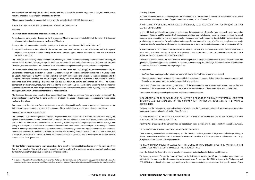and technical staff offering high standards quality, and thus if the ability to retain key people is lost, this could have a negative impact on the Company's prospects for growth.

This remuneration policy is substantially in line with the policy for the 2020/2021 financial year.

6. DESCRIPTION OF POLICIES ON FIXED AND VARIABLE COMPONENTS

*Directors*

The remuneration policy establishes that directors are paid:

- 1. fixed annual remuneration decided by the Shareholders' Meeting pursuant to Article 2389 of the Italian Civil Code, as allocated by the Shareholders or by the Board of Directors;
- 2. any additional remuneration related to participation in internal committees of the Board of Directors<sup>1</sup>;
- 3. any additional remuneration related to the various executive roles held in the Board of Directors and/or for special responsibilities, upon recommendation by the Remuneration and Appointments Committee, pursuant to article 2389 of the Italian Civil Code.

The Chairman receives only a fixed remuneration, including (i) the emolument resolved by the Shareholders' Meeting, as divided by the Board of Directors, and (ii) an additional remuneration related to his/her office as Chairman of € 450,000. Therefore, the remuneration of the Chairman is not related to accomplishment of specific performance objectives.

The remuneration of the Deputy Chairman is broken down into a fixed part - including (i) the emolument resolved by the Shareholders' Meeting, as divided by the Board of Directors, and (ii) an additional remuneration related to his/her position as Deputy Chairman of € 400,000 - and in a variable part; both components are adequately balanced according to the Company's strategic objectives and risk management policy. The fixed portion is sufficient to remunerate the service performed even if the variable portion were not paid due to a failure to achieve performance objectives. The variable component, predetermined, measurable and linked to the creation of value for shareholders, assuming that it is received in the maximum amount, has a weight not exceeding 50% of the total annual remuneration and is, in any case, subject to a ceiling and a minimum variable compensation is not guaranteed.

The Executive Directors other than the Chairman and the Deputy Chairman receive a fixed remuneration, including (i) the emolument resolved by the Shareholders' Meeting, as divided by the Board of Directors, and (ii) an additional remuneration related to their office.

Remuneration of the other Non-Executive Directors is not related to specific performance objectives and is commensurate to the commitment demanded of each, taking account of their participation in one or more internal committees.

#### *Managers with strategic responsibilities*

The remuneration of the Managers with strategic responsibilities was defined by the Board of Directors, after hearing the opinion of the Remuneration and Appointments Committee. The remuneration is made up of a fixed portion and a variable portion: both portions are appropriately balanced according to the Company's strategic objectives and risk management policy. The fixed portion is sufficient to remunerate the service performed even if the variable portion were not paid due to a failure to achieve performance objectives. The variable component of Managers with strategic responsibilities, predetermined, measurable and linked to the creation of value for shareholders, assuming that it is received in the maximum amount, has a weight not exceeding 50% of the total annual remuneration and is in any case subject to a ceiling and a minimum variable compensation is not guaranteed.

\*\*\*

The Board of Directors may resolve on a Medium/Long-Term Incentive Plan linked to the achievement of the plan's objectives (Long-Term Incentive Plan) with the aim of strengthening the loyalty of the personnel covering important positions and further stimulating them to pursue economic and financial results.

#### *Statutory Auditors*

Pursuant to the law and the Company By-laws, the remuneration of the members of the control body is established by the Shareholders' Meeting at the time of appointment for the entire period of their office.

7. NON-MONETARY BENEFITS AND INSURANCE COVERAGE, I.E. SOCIAL SECURITY OR PENSIONS, OTHER THAN MANDATORY BENEFITS

In line with best practices in remuneration policies and in consideration of specific roles assigned, the remuneration package of Directors and Managers with strategic responsibilities also includes non-monetary benefits (such as the use of company cars) in addition to forms of supplementary insurance such as Directors' third-party liability policies, in relation to claims for compensation for unintentional actions performed during the term of office and supplementary health insurance. Directors are also reimbursed for expenses incurred to carry out the activities connected to the positions held.

8. PERFORMANCE OBJECTIVES ON THE BASIS OF WHICH THE VARIABLE COMPONENTS OF REMUNERATION ARE ASSIGNED AND ASSESSMENT OF THEIR ACHIEVEMENT. VESTING PERIODS, ANY DEFERRED PAYMENT SYSTEMS AND ANY EX-POST CORRECTION MECHANISMS

The variable remuneration of the Vice Chairman and Managers with strategic responsibilities is based on quantitative and qualitative objectives approved by the Board of Directors after consulting the Company's Remuneration and Appointments Committee, in line with Juventus' strategic objectives.

In particular:

- the Vice Chairman is granted a variable component linked to the First Team's sports results; and
- Managers with strategic responsibilities are entitled to a variable component linked to the Company's economic and financial performance, strategic and other quantitative objectives.

The Board of Directors, after receiving the opinion of the Remuneration and Appointments Committee, verifies the achievement of the objectives set for the accrual of variable remuneration and determines the amounts to be paid.

There are no deferred payment systems or ex post correction mechanisms.

9. CONTRIBUTION OF THE REMUNERATION POLICY TO THE PURSUIT OF THE COMPANY STRATEGY, LONG-TERM INTERESTS AND SUSTAINABILITY OF THE COMPANY, WITH PARTICULAR REFERENCE TO THE VARIABLE COMPONENTS

The pursuit of the corporate strategy and the long-term interests of the Company is guaranteed by the variable remuneration component referred to in points 6 and 8 of this Section I.

10. INFORMATION ON THE POSSIBLE PROVISION OF CLAUSES FOR KEEPING FINANCIAL INSTRUMENTS IN THE PORTFOLIO AFTER THEIR ACQUISITION

As of the Date of the Report, the Company has not adopted any plans providing for the assignment of financial instruments.

11. END OF SERVICE ALLOWANCE AND NON-COMPETE CLAUSES

There are no agreements between the Company and the Directors or Managers with strategic responsibilities providing for allowances or other special benefits in the event of termination of the office or of the employment or collaboration relationship, or agreements that include non-compete clauses.

12. REMUNERATION POLICY FOLLOWED WITH REFERENCE TO INDEPENDENT DIRECTORS, PARTICIPATION IN COMMITTEES AND THE PERFORMANCE OF PARTICULAR OFFICES

As of the Date of the Report, there is no specific remuneration policy in place for Independent Directors.

For the entire term of office of the Board of Directors, the following is provided for: (i) gross annual remuneration to be attributed to the members of the Remuneration and Appointments Committee, of € 15,000 in favour of the Chairperson and € 10,000 in favour of each other member, in addition to the reimbursement of expenses incurred in the performance of their

<sup>&</sup>lt;sup>1</sup> In relation to the additional remuneration for members of the Control and Risk Committee and the Remuneration and Appointments Committee, the policy *establishes that the Director who has the role of Chairman in these committees is awarded remuneration in the amount of 50% higher than the other two members.*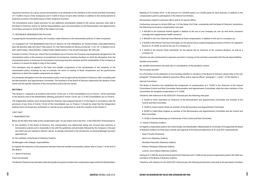respective functions; (ii) a gross annual remuneration to be attributed to the members of the Control and Risk Committee of € 15,000 in favour of the chairperson and € 10,000 in favour of each other member, in addition to the reimbursement of expenses incurred in the performance of their respective functions.

The remuneration policy makes provision for any additional remuneration related to the various executive roles held in the Board of Directors and/or for special responsibilities, upon recommendation by the Remuneration and Appointments Committee, pursuant to Article 2389 of the Italian Civil Code

#### 13. REFERENCE REMUNERATION POLICIES

In preparing the remuneration policy, the Company made reference to the remuneration policies of other companies.

14. ELEMENTS OF THE REMUNERATION POLICY WHICH, IN THE PRESENCE OF EXCEPTIONAL CIRCUMSTANCES, MAY BE WAIVED AND, WITHOUT PREJUDICE TO THE PROVISIONS OF REGULATION NO. 17221 OF 12 MARCH 2010, ANY ADDITIONAL PROCEDURAL CONDITIONS UNDER WHICH THE EXCEPTION MAY BE APPLIED

Pursuant to Article 123-ter, par. 3-bisof the Consolidated Law on Finance, the Company may temporarily derogate from the remuneration policy in the presence of exceptional circumstances, meaning situations in which the derogation from the remuneration policy is necessary for the purpose of pursuing long-term interests and the sustainability of the Company as a whole or to ensure its ability to stay on the market.

This exemption may be applied to the fixed and variable components of the remuneration of the recipients of the remuneration policy, including, by way of example, the terms of vesting of these components and the performance objectives to which the variable components are subject.

Any temporary derogation from the remuneration policy must be approved by the Board of Directors, after consulting with the Remuneration and Appointments Committee. The resolution of the Board of Directors determines the duration of this waiver and the specific elements of the remuneration policy that are waived.

#### **SECTION II**

This Section II - prepared in accordance with Article 123-*ter*, par. 4, of the Consolidated Law on Finance - will be submitted to the advisory vote of the Shareholders' Meeting, pursuant to Article 123-*ter*, par. 6, of the Consolidated Law on Finance.

- 1. € 450,000 to the Chairman Andrea Agnelli in addition to the use of one company car, one car with driver, insurance coverage and supplementary health insurance;
- 2.  $€$  400,000 to the Vice Chairman Pavel Nedved as fixed compensation, in addition to the use of a company car;
- 3. € 50,000 to the Director Francesco Roncaglio, for the special role as original employer pursuant to Article 2 of Legislative Decree no. 81/2008, as well as the use of a company car.
- 4. € 20,000 to the Director Paolo Garimberti, for the special role as Chairman of the Juventus Museum, as well as a company car.

The Independent Auditors have checked that the Directors have prepared Section II of the Report in accordance with the provisions of par. 8-*bis* of Article 123-*ter* of the Consolidated Law on Finance. It should be noted that the Independent Auditors have not issued any certification or carried out any assignment to verify the contents of this Section II.

The Board of Directors has established the assignment of compensation of  $\epsilon$  15,000 to the Chairmen of the Internal Committees (Control and Risk Committee, Remuneration and Appointments Committee), while the other members of the Committees are assigned compensation of € 10,000.

#### *FIRST PART*

#### 1. REMUNERATION

Below are the items that make up the compensation paid - for any reason and in any form - in the 2020/2021 financial year to:

- $\epsilon$  25,000 to Paolo Garimberti as Chairman of the Remuneration and Appointments Committee and member of the Control and Risk Committee;
- $\cdot \in$  10,000 to Assia Grazioli Venier as member of the Remuneration and Appointments Committee
- - € 20,000 to Caitlin Mary Hughes as member of the Remuneration and Appointments Committee and the Control and Risk Committee;
- $\epsilon$  15,000 to Daniela Marilungo as Chairwoman of the Control and Risk Committee.
- *1.2. Board of Statutory Auditors*

- (i) the members of the Board of Directors: this compensation was determined taking into account best practices in remuneration policies and is essentially in line with the guidelines and principles followed by the Company in the past and which are now outlined in Section I above. As already mentioned in the Introduction, no General Manager has been appointed yet;
- (ii) the members of the Board of Statutory Auditors;

setting at € 21,000 the annual amount paid to the Chairman and € 14,000 as the annual compensation paid to the other two members of the Board of Statutory Auditors.

(iii) Managers with strategic responsibilities.

As regards the indication of the proportion between fixed and variable remuneration, please refer to Annex 1 at the end of this Report.

*1.1. Board of Directors*

*Fixed remuneration*

The Board of Directors has decided to allocate equally among the members the compensation approved by the Shareholders'

Meeting of 25 October 2018 - in the amount of € 225,000 yearly (i.e.€ 25,000 yearly for each Director), in addition to the compensation paid for participation in the Internal Committees.

*Remuneration related to executive offices and/or for special offices*

Furthermore, pursuant to Article 2389, par. 3 of the Italian Civil Code, consistently with the Board of Directors' resolutions, the following annual gross compensation was paid:

Directors are also reimbursed for expenses incurred in carrying out the activities associated with the job responsibilities. *Variable remuneration*

No variable remuneration was paid, also in consideration of the pandemic context.

*Non-monetary benefits*

For information on the attribution of non-monetary benefits to members of the Board of Directors, please refer to the subparagraph "Compensation related to executive offices and/or special offices", paragraph 1.1, point 1 of this Section II.

*Internal Committees*

Therefore, with reference to the 2020/2021 financial year, the following were paid:

As regards compensation paid to the control bodies, the Shareholders' Meeting held on 25 October 2018 appointed the Board of Statutory Auditors for three years, namely until approval of the financial statements at 30 June 2021 represented by:

- Paolo Piccatti (Chairman);
- Silvia Lirici (Statutory Auditor);
- Nicoletta Paracchini (Statutory Auditor);
- Roberto Petrignani (Alternate Auditor);
- Lorenzo Jona Celesia (Alternate Auditor),

Therefore, with reference to the 2020/2021 financial year, the following emoluments were paid to the permanent members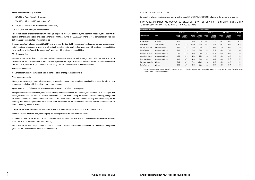#### of the Board of Statutory Auditors:

- - € 21,000 to Paolo Piccatti (Chairman);
- - € 14,000 to Silvia Lirici (Statutory Auditor);
- - € 14,000 to Nicoletta Paracchini (Statutory Auditor).

#### 1.3. *Managers with strategic responsibilities*

The remuneration of the Managers with strategic responsibilities was defined by the Board of Directors, after hearing the opinion of the Remuneration and Appointments Committee. During the 2020/2021 financial year, compensation was paid to 3 Managers with strategic responsibilities.

It should be noted that during the 2020/2021 financial year, the Board of Directors examined the new company organisation, redefining the main operating areas and retraining the parties to be identified as Managers with strategic responsibilities. As at the Date of the Report, the Issuer has 1 Manager with strategic responsibilities.

#### *Fixed remuneration*

During the 2020/2021 financial year, the fixed remuneration of Managers with strategic responsibilities was adjusted in relation to the new positions held. In particular, Managers with strategic responsibilities were paid a total fixed remuneration of € 3,414,128, of which € 2,600,000 to the Managing Director of the Football Area Fabio Paratici.

#### *Variable remuneration*

No variable remuneration was paid, also in consideration of the pandemic context.

#### *Non-monetary benefits*

Managers with strategic responsibilities were guaranteed insurance cover, supplementary health care and the allocation of a company car in line with the policy in force for managers.

*Agreements that include severance in the event of termination of office or employment*

Except for those described above, there are no other agreements between the Company and its Directors or Managers with strategic responsibilities, which include further severance in the event of early termination of the relationship, assignment or maintenance of non-monetary benefits to those that have terminated their office or employment relationship, or the entering into consulting contracts for a period after termination of the relationship, or which include compensation for non-compete agreements made.

#### 2. DEROGATION FROM THE REMUNERATION POLICY APPLIED IN EXCEPTIONAL CIRCUMSTANCES

In the 2020/2021 financial year, the Company did not depart from the remuneration policy.

3. APPLICATION OF EX POST CORRECTION MECHANISMS OF THE VARIABLE COMPONENT (MALUS OR RETURN OF CLAWBACK VARIABLE COMPENSATION)

In the 2020/2021 financial year, there was no application of *ex-post* correction mechanisms for the variable component (malus or return of clawback variable compensation).

#### 4. COMPARATIVE INFORMATION

#### Comparative information is provided below for the years 2016/2017 to 2020/2021, relating to the annual changes in:

### (I) TOTAL REMUNERATION PAID BY JUVENTUS TO EACH OF THE PARTIES FOR WHICH THE INFORMATION REFERRED

TO IN THIS SECTION II OF THE REPORT IS PROVIDED BY NAME

(\*) Executive Director starting from 30 June 2021, the date on which the Board of Directors resolved to assign powers for the management of the Football Area and the related powers to Maurizio Arrivabene.

| amounts in thousands of euro | <b>Financial year</b> |                   |                                                 |                   |                                                 |                   |                                                 |                   |                                                 |                   |
|------------------------------|-----------------------|-------------------|-------------------------------------------------|-------------------|-------------------------------------------------|-------------------|-------------------------------------------------|-------------------|-------------------------------------------------|-------------------|
|                              |                       | 2020/2021         |                                                 | 2019/2020         |                                                 | 2018/2019         |                                                 | 2017/2018         |                                                 | 2016/2017         |
| Name and surname             | Office                | Absolute<br>value | % change<br>compared to<br>the previous<br>year | Absolute<br>value | % change<br>compared to<br>the previous<br>year | Absolute<br>value | % change<br>compared to<br>the previous<br>year | Absolute<br>value | % change<br>compared to<br>the previous<br>year | Absolute<br>value |
| Andrea Agnelli               | Chairman              | 512.0             | 1.1%                                            | 506.5             | 0.5%                                            | 504.2             | 1.5%                                            | 496.7             | 0.6%                                            | 493.9             |
| Pavel Nedved                 | Vice Chairman         | 436.8             | $-8.1%$                                         | 475.4             | $-5.5%$                                         | 503.2             | 17.2%                                           | 429.2             | 0.0%                                            | 429.3             |
| Maurizio Arrivabene          | Executive Director*   | 25.0              | 0.0%                                            | 25.0              | 0.0%                                            | 25.0              | 0.0%                                            | 25.0              | 0.0%                                            | 25.0              |
| Paolo Garimberti             | Independent Director  | 73.8              | $-0.1%$                                         | 73.9              | 0.0%                                            | 73.9              | $-7.9%$                                         | 80.2              | 7.8%                                            | 74.4              |
| Assia Grazioli Venier        | Independent Director  | 35.0              | 0.0%                                            | 35.0              | $-8.4%$                                         | 38.2              | $-15.1%$                                        | 45.0              | 0.0%                                            | 45.0              |
| <b>Caitlin Mary Hughes</b>   | Independent Director  | 45.0              | 0.0%                                            | 45.0              | 7.7%                                            | 41.8              | 19.4%                                           | 35.0              | 0.0%                                            | 35.0              |
| Daniela Marilungo            | Independent Director  | 40.0              | 0.0%                                            | 40.0              | 0.0%                                            | 40.0              | 0.0%                                            | 40.0              | 0.0%                                            | 40.0              |
| Francesco Roncaglio          | Director              | 78.8              | $-0.1%$                                         | 78.9              | 29.6%                                           | 60.9              | 143.6%                                          | 25.0              | 0.0%                                            | 25.0              |
| Enrico Vellano               | Director              | 25.0              | 0.0%                                            | 25.0              | 0.0%                                            | 25.0              | 0.0%                                            | 25.0              | 0.0%                                            | 25.0              |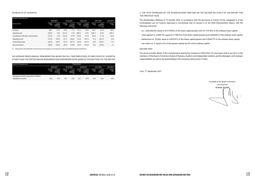#### (II) RESULTS OF JUVENTUS

#### (III) AVERAGE GROSS ANNUAL REMUNERATION, BASED ON FULL-TIME EMPLOYEES, OF EMPLOYEES OF JUVENTUS OTHER THAN THE PARTIES WHOSE REMUNERATION IS REPRESENTED BY NAME IN THIS SECTION II OF THE REPORT

(\*) Starting from the 2020/2021 financial year, the Company is not required to draft consolidated financial statements.

| amounts in thousands of euro              |                   |                                                 |                   |                                                 |                   |                                                 |                   |                                                 |                   |  |  |
|-------------------------------------------|-------------------|-------------------------------------------------|-------------------|-------------------------------------------------|-------------------|-------------------------------------------------|-------------------|-------------------------------------------------|-------------------|--|--|
|                                           |                   | 2020/2021*                                      |                   | 2019/2020                                       |                   | 2018/2019                                       |                   | 2017/2018                                       | 2016/2017         |  |  |
| <b>Economic indicator</b>                 | Absolute<br>value | % change<br>compared to<br>the previous<br>year | Absolute<br>value | % change<br>compared to<br>the previous<br>year | Absolute<br>value | % change<br>compared to<br>the previous<br>year | Absolute<br>value | % change<br>compared to<br>the previous<br>year | Absolute<br>value |  |  |
| Revenues                                  | 480.7             | $-16.2%$                                        | 573.4             | $-7.7%$                                         | 621.5             | 10.4%                                           | 562.7             | 45.1%                                           | 387.9             |  |  |
| Operating costs                           | (449.3)           | 8.5%                                            | (414.1)           | $-9.7%$                                         | (458.5)           | 14.4%                                           | (400.7)           | 33.5%                                           | (300.1)           |  |  |
| Amortisationi, write-downs and provisions | (216.9)           | $-4.2%$                                         | (226.4)           | 27.0%                                           | (178.3)           | 87.7%                                           | (95.0)            | 21.5%                                           | (78.2)            |  |  |
| Operating income                          | (197.2)           | 193.9%                                          | (67.1)            | 338.6%                                          | (15.3)            | $-122.7%$                                       | 67.4              | 233.7%                                          | 20.2              |  |  |
| Income before taxes                       | (207.8)           | 154.3%                                          | (81.7)            | 203.7%                                          | (26.9)            | $-146.1%$                                       | 58.4              | 403.4%                                          | 11.6              |  |  |
| Net income/(loss)                         | (209.9)           | 134.0%                                          | (89.7)            | 124.8%                                          | (39.9)            | $-193.7%$                                       | 42.6              | 939.0%                                          | 4.1               |  |  |

| amounts in thousands of euro                   |                   |                                                 |                   |                                                 | <b>Financial year</b> |                                                 |                   |                                                 |                   |
|------------------------------------------------|-------------------|-------------------------------------------------|-------------------|-------------------------------------------------|-----------------------|-------------------------------------------------|-------------------|-------------------------------------------------|-------------------|
|                                                |                   | 2020/2021*                                      | 2019/2020         |                                                 | 2018/2019             |                                                 | 2017/2018         |                                                 | 2016/2017         |
|                                                | Absolute<br>value | % change<br>compared to<br>the previous<br>year | Absolute<br>value | % change<br>compared to<br>the previous<br>year | Absolute<br>value     | % change<br>compared to<br>the previous<br>year | Absolute<br>value | % change<br>compared to<br>the previous<br>year | Absolute<br>value |
| Average gross annual remuneration of full-time |                   |                                                 |                   |                                                 |                       |                                                 |                   |                                                 |                   |
| employees of Juventus                          | 48.2              | 7.8%                                            | 44.7              | 0.0%                                            | 44.7                  | $-9.5%$                                         | 49.4              | $-0.2%$                                         | 49.5              |

#### 5. THE VOTE EXPRESSED BY THE SHAREHOLDERS' MEETING ON THE SECOND SECTION II OF THE REPORT FOR

THE PREVIOUS YEAR

The Shareholders 'Meeting of 15 October 2020, in accordance with the provisions of Article 123-*ter*, paragraph 6, of the Consolidated Law on Finance, expressed a non-binding vote on Section II of the 2020 Remuneration Report, with the following outcomes:

- votes against no. 8,008,703, equal to 0.778673% of the share capital present and 0.602044% of the ordinary share capital;

- no. 1,020,438,243, equal to 99.215536% of the share capital present and 76.710146% of the ordinary share capital;
- 
- abstentions no. 59,562, equal to 0.005791% of the share capital present and 0.004477% of the ordinary share capital;
- non-voters no. 0, equal to 0% of the present capital and 0% of the ordinary capital.

#### *SECOND PART*

The annex provides details of the compensation paid by the Company in 2020/2021, for any reason and in any form, to the members of the Board of Directors, Board of Statutory Auditors and Independent Auditors and the Managers with strategic responsibilities as well as the shareholding in the Company held by each of them.

Turin, 17 September 2021

On behalf of the Board of Directors The Chairman Andrea Agnelli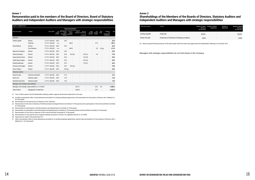(\*) Term of office expires with the Shareholders' Meeting called to approve the financial statements for the year

(c) Remuneration for the role as Chairman of the Remuneration and Appointments Committee (€ 15 thousand) and for participation in the Control and Risk Committee (€ 10 thousand)

(d) Remuneration for participation in the Remuneration and Appointments Committee ( $\epsilon$  10 thousand)

(a) (b) Other remuneration refers to travel allowances provided for in existing employee agreements, and remuneration for the position of Director with J Medical S.r.l. (€ 6 thousand)

(b) Remuneration for the special role as Chairman of the J Museum

(e) Remuneration for participation in the Remuneration and Appointments Committee (€ 10 thousand) and the Control and Risk Committee (€ 10 thousand)

(f) Remuneration for the role as Chairman of the Control and Risk Committee ( $\epsilon$  15 thousand)

(g) Remuneration for the special role as original employer pursuant to Article 2 of Legislative Decree no. 81/2008

(h) Payments are made to the parent Exor N.V.

(i) Other remuneration refers to travel allowances provided for in existing employee agreements, and pro-rata remuneration for the positions of Director with J Medical S.r.l. (€ 6 thousand)

| importi in migliaia di euro              |                                                          |                    |                       |                                                                     |                           |                          |                                                         |                                                  |                  |                 |                                                  |              |
|------------------------------------------|----------------------------------------------------------|--------------------|-----------------------|---------------------------------------------------------------------|---------------------------|--------------------------|---------------------------------------------------------|--------------------------------------------------|------------------|-----------------|--------------------------------------------------|--------------|
|                                          |                                                          |                    |                       |                                                                     | <b>Fixed remuneration</b> |                          |                                                         |                                                  |                  |                 |                                                  |              |
| Name and surname                         | Position                                                 | Term of office     | of term<br>of office* | End Rem. approved<br>by the<br>Shareholders' assignments<br>Meeting | Rem. for<br>special       | Rem. to                  | Rem. for<br>employees partecipation<br>in<br>committees | <b>Bonus</b><br>and other monetary<br>incentives | Non-<br>benefits | Other<br>remun. | Indemnity<br>for<br>termination of<br>employment | <b>Total</b> |
| <b>Directors</b>                         |                                                          |                    |                       |                                                                     |                           |                          |                                                         |                                                  |                  |                 |                                                  |              |
| Andrea Agnelli                           | Director                                                 | 1/7/19 - 30/6/20   | 2021                  | 25.0                                                                |                           |                          |                                                         |                                                  |                  |                 | $\overline{a}$                                   | 25.0         |
|                                          | Chairman                                                 | 1/7/19 - 30/6/20   | n.a.                  | ٠                                                                   | 450.0                     |                          |                                                         | $\overline{\phantom{a}}$                         | 37.0             | ٠               | $\qquad \qquad \blacksquare$                     | 487.0        |
| <b>Pavel Nedved</b>                      | <b>Director</b>                                          | 1/7/19 - 30/6/20   | 2021                  | 25.0                                                                |                           |                          |                                                         |                                                  |                  |                 |                                                  | 25.0         |
|                                          | Vice Chairman                                            | 1/7/19 - 30/6/20   | n.a.                  | ٠                                                                   | 400.0                     |                          |                                                         | $\blacksquare$                                   | 5.8              | 6.0(a)          | $\qquad \qquad \blacksquare$                     | 411.8        |
| Maurizio Arrivabene                      | <b>Director</b>                                          | 1/7/19 - 30/6/20   | 2021                  | 25.0                                                                |                           |                          |                                                         |                                                  |                  |                 | ÷,                                               | 25.0         |
| Paolo Garimberti                         | <b>Director</b>                                          | $1/7/19 - 30/6/20$ | 2021                  | 25.0                                                                | 20.0(b)                   | $\overline{\phantom{a}}$ | 25.0(c)                                                 | $\overline{\phantom{a}}$                         | 3.8              |                 | $\qquad \qquad \blacksquare$                     | 73.8         |
| Assia Grazioli Venier                    | Director                                                 | 1/7/19 - 30/6/20   | 2021                  | 25.0                                                                |                           | ٠                        | 10.0(d)                                                 |                                                  |                  |                 | $\overline{a}$                                   | 35.0         |
| Caitlin Mary Hughes                      | <b>Director</b>                                          | 1/7/19 - 30/6/20   | 2021                  | 25.0                                                                |                           | $\overline{\phantom{a}}$ | 20.0(e)                                                 |                                                  |                  |                 | ÷,                                               | 45.0         |
| Daniela Marilungo                        | Director                                                 | $1/7/19 - 30/6/20$ | 2021                  | 25.0                                                                |                           | $\overline{a}$           | 15.0(f)                                                 |                                                  |                  |                 | ٠                                                | 40.0         |
| Francesco Roncaglio                      | Director                                                 | $1/7/19 - 30/6/20$ | 2021                  | 25.0                                                                | 50.0(g)                   |                          |                                                         |                                                  |                  |                 | $\overline{a}$                                   | 78.8         |
| Enrico Vellano                           | <b>Director</b>                                          | $1/7/19 - 30/6/20$ | 2021                  | 25.0(h)                                                             |                           |                          |                                                         |                                                  |                  |                 |                                                  | 25.0         |
| <b>Statutory Auditors</b>                |                                                          |                    |                       |                                                                     |                           |                          |                                                         |                                                  |                  |                 |                                                  |              |
| Paolo Piccatti                           | Chairman of the BoSA                                     | 1/7/19 - 30/6/20   | 2021                  | 21.0                                                                |                           |                          |                                                         |                                                  |                  |                 | $\blacksquare$                                   | 21.0         |
| Silvia Lirici                            | <b>Statutory Auditor</b>                                 | $1/7/19 - 30/6/20$ | 2021                  | 14.0                                                                |                           |                          |                                                         |                                                  |                  |                 | ÷,                                               | 14.0         |
| Nicoletta Paracchini                     | <b>Statutory Auditor</b>                                 | $1/7/19 - 30/6/20$ | 2021                  | 14.0                                                                |                           |                          |                                                         |                                                  |                  |                 |                                                  | 14.0         |
| Managers with strategic responsibilities |                                                          |                    |                       |                                                                     |                           |                          |                                                         |                                                  |                  |                 |                                                  |              |
|                                          | Managers with strategic responsibilities no. 3 of which: |                    |                       | ٠                                                                   | ٠                         | 3,414.1                  |                                                         | $\overline{\phantom{a}}$                         | 63.3             | 5.8             |                                                  | $-3,483.2$   |
| <b>Fabio Paratici</b>                    | Managing Dir. Football Area                              |                    |                       |                                                                     |                           | 2,600.0                  |                                                         |                                                  | 29.0             |                 |                                                  | $-2,629.0$   |

#### **Annex 1**

**Remuneration paid to the members of the Board of Directors, Board of Statutory Auditors and Independent Auditors and Managers with strategic responsibilities** 

(a) Shares acquired following exercise of the option rights within the share issue approved by the Shareholders' Meeting on 24 October 2019

#### **Annex 2**

### **Shareholdings of the Members of the Boards of Directors, Statutory Auditors and**

**Independent Auditors and Managers with strategic responsibilities**

| Name and surname | Position                                    | Number of shares<br>held as of<br>30 June 2020 | Number of shares<br>acquired (a) | Number of<br>shares sold | <b>Number of shares</b><br>held as of<br>30 June 2021 |
|------------------|---------------------------------------------|------------------------------------------------|----------------------------------|--------------------------|-------------------------------------------------------|
| Andrea Agnelli   | Chairman                                    | 50.901                                         | -                                |                          | 50.901                                                |
| Paolo Piccatti   | Chairman of the Board of Statutory Auditors | 3.564                                          | -                                |                          | 3.564                                                 |

Managers with strategic responsibilities do not hold shares in the Company.